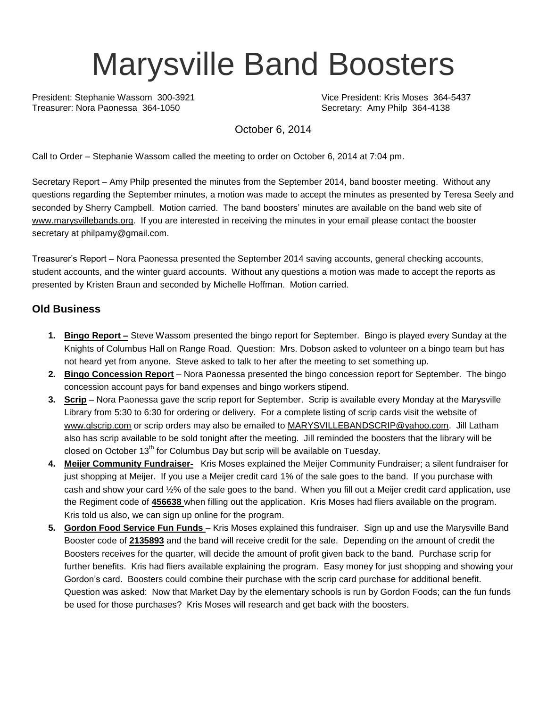# Marysville Band Boosters

President: Stephanie Wassom 300-3921 Vice President: Kris Moses 364-5437 Treasurer: Nora Paonessa 364-1050 Secretary: Amy Philp 364-4138

October 6, 2014

Call to Order – Stephanie Wassom called the meeting to order on October 6, 2014 at 7:04 pm.

Secretary Report – Amy Philp presented the minutes from the September 2014, band booster meeting. Without any questions regarding the September minutes, a motion was made to accept the minutes as presented by Teresa Seely and seconded by Sherry Campbell. Motion carried. The band boosters' minutes are available on the band web site of [www.marysvillebands.org.](http://www.marysvillebands.org/) If you are interested in receiving the minutes in your email please contact the booster secretary at philpamy@gmail.com.

Treasurer's Report – Nora Paonessa presented the September 2014 saving accounts, general checking accounts, student accounts, and the winter guard accounts. Without any questions a motion was made to accept the reports as presented by Kristen Braun and seconded by Michelle Hoffman. Motion carried.

#### **Old Business**

- **1. Bingo Report –** Steve Wassom presented the bingo report for September. Bingo is played every Sunday at the Knights of Columbus Hall on Range Road. Question: Mrs. Dobson asked to volunteer on a bingo team but has not heard yet from anyone. Steve asked to talk to her after the meeting to set something up.
- **2. Bingo Concession Report** Nora Paonessa presented the bingo concession report for September. The bingo concession account pays for band expenses and bingo workers stipend.
- **3. Scrip** Nora Paonessa gave the scrip report for September. Scrip is available every Monday at the Marysville Library from 5:30 to 6:30 for ordering or delivery. For a complete listing of scrip cards visit the website of [www.glscrip.com](http://www.glscrip.com/) or scrip orders may also be emailed to [MARYSVILLEBANDSCRIP@yahoo.com.](mailto:MARYSVILLEBANDSCRIP@yahoo.com) Jill Latham also has scrip available to be sold tonight after the meeting. Jill reminded the boosters that the library will be closed on October  $13<sup>th</sup>$  for Columbus Day but scrip will be available on Tuesday.
- **4. Meijer Community Fundraiser-** Kris Moses explained the Meijer Community Fundraiser; a silent fundraiser for just shopping at Meijer. If you use a Meijer credit card 1% of the sale goes to the band. If you purchase with cash and show your card ½% of the sale goes to the band. When you fill out a Meijer credit card application, use the Regiment code of **456638** when filling out the application. Kris Moses had fliers available on the program. Kris told us also, we can sign up online for the program.
- **5. Gordon Food Service Fun Funds**  Kris Moses explained this fundraiser. Sign up and use the Marysville Band Booster code of **2135893** and the band will receive credit for the sale. Depending on the amount of credit the Boosters receives for the quarter, will decide the amount of profit given back to the band. Purchase scrip for further benefits. Kris had fliers available explaining the program. Easy money for just shopping and showing your Gordon's card. Boosters could combine their purchase with the scrip card purchase for additional benefit. Question was asked: Now that Market Day by the elementary schools is run by Gordon Foods; can the fun funds be used for those purchases? Kris Moses will research and get back with the boosters.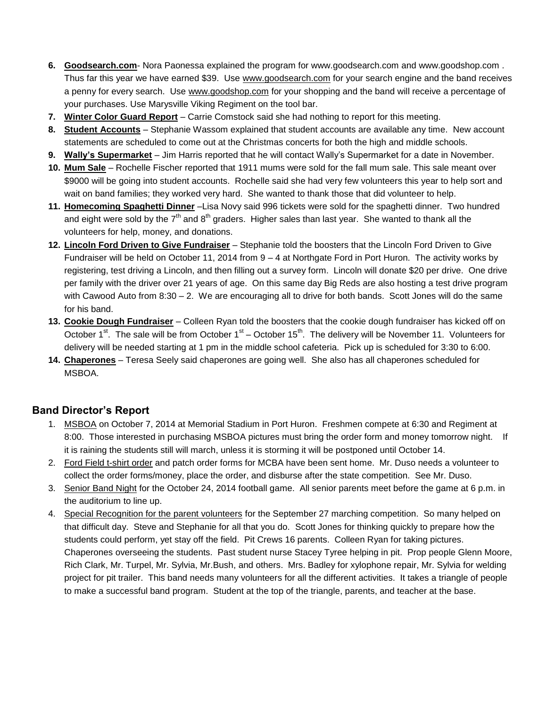- **6. Goodsearch.com** Nora Paonessa explained the program for [www.goodsearch.com](http://www.goodsearch.com/) and [www.goodshop.com](http://www.goodshop.com/) . Thus far this year we have earned \$39. Use [www.goodsearch.com](http://www.goodsearch.com/) for your search engine and the band receives a penny for every search. Use [www.goodshop.com](http://www.goodshop.com/) for your shopping and the band will receive a percentage of your purchases. Use Marysville Viking Regiment on the tool bar.
- **7. Winter Color Guard Report** Carrie Comstock said she had nothing to report for this meeting.
- **8. Student Accounts** Stephanie Wassom explained that student accounts are available any time. New account statements are scheduled to come out at the Christmas concerts for both the high and middle schools.
- **9. Wally's Supermarket** Jim Harris reported that he will contact Wally's Supermarket for a date in November.
- **10. Mum Sale** Rochelle Fischer reported that 1911 mums were sold for the fall mum sale. This sale meant over \$9000 will be going into student accounts. Rochelle said she had very few volunteers this year to help sort and wait on band families; they worked very hard. She wanted to thank those that did volunteer to help.
- **11. Homecoming Spaghetti Dinner** –Lisa Novy said 996 tickets were sold for the spaghetti dinner. Two hundred and eight were sold by the  $7<sup>th</sup>$  and  $8<sup>th</sup>$  graders. Higher sales than last year. She wanted to thank all the volunteers for help, money, and donations.
- **12. Lincoln Ford Driven to Give Fundraiser** Stephanie told the boosters that the Lincoln Ford Driven to Give Fundraiser will be held on October 11, 2014 from 9 – 4 at Northgate Ford in Port Huron. The activity works by registering, test driving a Lincoln, and then filling out a survey form. Lincoln will donate \$20 per drive. One drive per family with the driver over 21 years of age. On this same day Big Reds are also hosting a test drive program with Cawood Auto from 8:30 – 2. We are encouraging all to drive for both bands. Scott Jones will do the same for his band.
- **13. Cookie Dough Fundraiser** Colleen Ryan told the boosters that the cookie dough fundraiser has kicked off on October 1<sup>st</sup>. The sale will be from October 1<sup>st</sup> – October 15<sup>th</sup>. The delivery will be November 11. Volunteers for delivery will be needed starting at 1 pm in the middle school cafeteria. Pick up is scheduled for 3:30 to 6:00.
- **14. Chaperones** Teresa Seely said chaperones are going well. She also has all chaperones scheduled for MSBOA.

#### **Band Director's Report**

- 1. MSBOA on October 7, 2014 at Memorial Stadium in Port Huron. Freshmen compete at 6:30 and Regiment at 8:00. Those interested in purchasing MSBOA pictures must bring the order form and money tomorrow night. If it is raining the students still will march, unless it is storming it will be postponed until October 14.
- 2. Ford Field t-shirt order and patch order forms for MCBA have been sent home. Mr. Duso needs a volunteer to collect the order forms/money, place the order, and disburse after the state competition. See Mr. Duso.
- 3. Senior Band Night for the October 24, 2014 football game. All senior parents meet before the game at 6 p.m. in the auditorium to line up.
- 4. Special Recognition for the parent volunteers for the September 27 marching competition. So many helped on that difficult day. Steve and Stephanie for all that you do. Scott Jones for thinking quickly to prepare how the students could perform, yet stay off the field. Pit Crews 16 parents. Colleen Ryan for taking pictures. Chaperones overseeing the students. Past student nurse Stacey Tyree helping in pit. Prop people Glenn Moore, Rich Clark, Mr. Turpel, Mr. Sylvia, Mr.Bush, and others. Mrs. Badley for xylophone repair, Mr. Sylvia for welding project for pit trailer. This band needs many volunteers for all the different activities. It takes a triangle of people to make a successful band program. Student at the top of the triangle, parents, and teacher at the base.